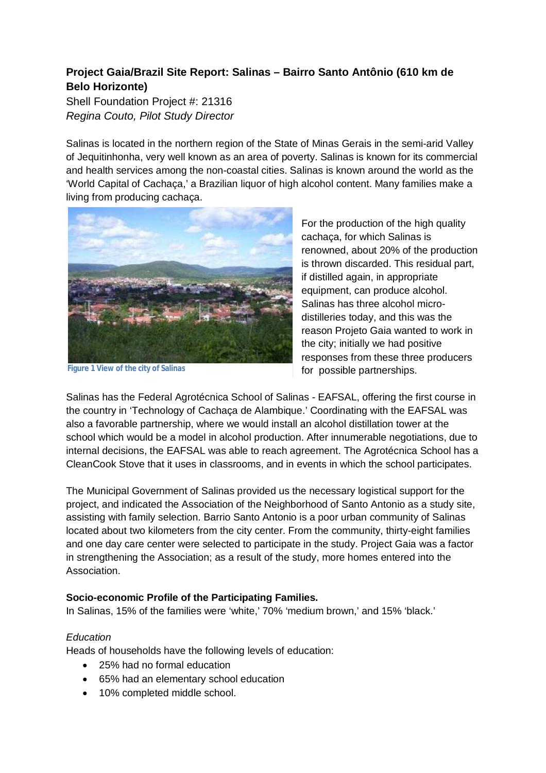# **Project Gaia/Brazil Site Report: Salinas – Bairro Santo Antônio (610 km de Belo Horizonte)**

Shell Foundation Project #: 21316 *Regina Couto, Pilot Study Director*

Salinas is located in the northern region of the State of Minas Gerais in the semi-arid Valley of Jequitinhonha, very well known as an area of poverty. Salinas is known for its commercial and health services among the non-coastal cities. Salinas is known around the world as the 'World Capital of Cachaça,' a Brazilian liquor of high alcohol content. Many families make a living from producing cachaça.



**Figure 1 View of the city of Salinas**

For the production of the high quality cachaça, for which Salinas is renowned, about 20% of the production is thrown discarded. This residual part, if distilled again, in appropriate equipment, can produce alcohol. Salinas has three alcohol microdistilleries today, and this was the reason Projeto Gaia wanted to work in the city; initially we had positive responses from these three producers for possible partnerships.

Salinas has the Federal Agrotécnica School of Salinas - EAFSAL, offering the first course in the country in 'Technology of Cachaça de Alambique.' Coordinating with the EAFSAL was also a favorable partnership, where we would install an alcohol distillation tower at the school which would be a model in alcohol production. After innumerable negotiations, due to internal decisions, the EAFSAL was able to reach agreement. The Agrotécnica School has a CleanCook Stove that it uses in classrooms, and in events in which the school participates.

The Municipal Government of Salinas provided us the necessary logistical support for the project, and indicated the Association of the Neighborhood of Santo Antonio as a study site, assisting with family selection. Barrio Santo Antonio is a poor urban community of Salinas located about two kilometers from the city center. From the community, thirty-eight families and one day care center were selected to participate in the study. Project Gaia was a factor in strengthening the Association; as a result of the study, more homes entered into the Association.

#### **Socio-economic Profile of the Participating Families.**

In Salinas, 15% of the families were 'white,' 70% 'medium brown,' and 15% 'black.'

# *Education*

Heads of households have the following levels of education:

- 25% had no formal education
- 65% had an elementary school education
- 10% completed middle school.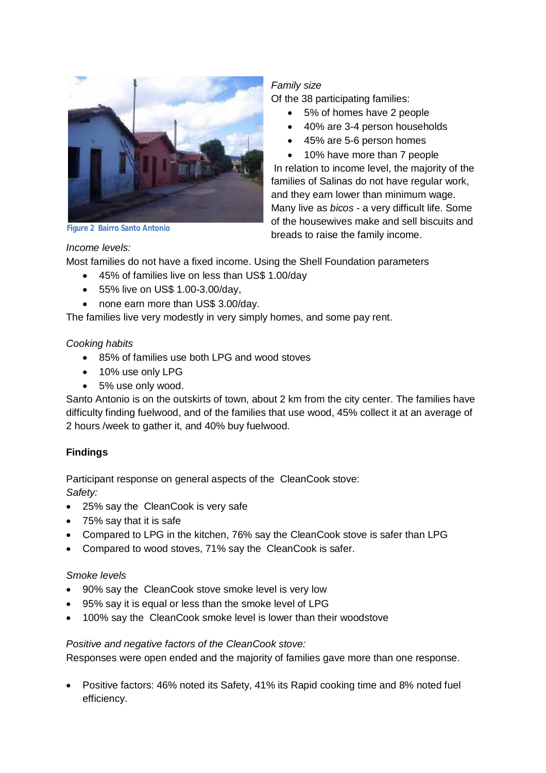

**Figure 2 Bairro Santo Antonio**

### *Family size*

Of the 38 participating families:

- 5% of homes have 2 people
- 40% are 3-4 person households
- 45% are 5-6 person homes
- 10% have more than 7 people

In relation to income level, the majority of the families of Salinas do not have regular work, and they earn lower than minimum wage. Many live as *bicos* - a very difficult life. Some of the housewives make and sell biscuits and breads to raise the family income.

### *Income levels:*

Most families do not have a fixed income. Using the Shell Foundation parameters

- 45% of families live on less than US\$ 1.00/day
- 55% live on US\$ 1.00-3.00/day,
- none earn more than US\$ 3.00/day.

The families live very modestly in very simply homes, and some pay rent.

### *Cooking habits*

- 85% of families use both LPG and wood stoves
- 10% use only LPG
- 5% use only wood.

Santo Antonio is on the outskirts of town, about 2 km from the city center. The families have difficulty finding fuelwood, and of the families that use wood, 45% collect it at an average of 2 hours /week to gather it, and 40% buy fuelwood.

# **Findings**

Participant response on general aspects of the CleanCook stove: *Safety:* 

- 25% say the CleanCook is very safe
- 75% say that it is safe
- Compared to LPG in the kitchen, 76% say the CleanCook stove is safer than LPG
- Compared to wood stoves, 71% say the CleanCook is safer.

# *Smoke levels*

- 90% say the CleanCook stove smoke level is very low
- 95% say it is equal or less than the smoke level of LPG
- 100% say the CleanCook smoke level is lower than their woodstove

# *Positive and negative factors of the CleanCook stove:*

Responses were open ended and the majority of families gave more than one response.

 Positive factors: 46% noted its Safety, 41% its Rapid cooking time and 8% noted fuel efficiency.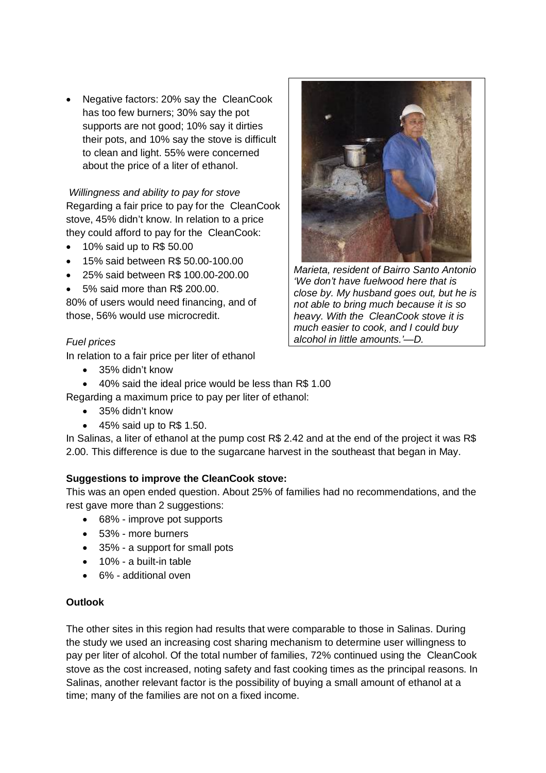Negative factors: 20% say the CleanCook has too few burners; 30% say the pot supports are not good; 10% say it dirties their pots, and 10% say the stove is difficult to clean and light. 55% were concerned about the price of a liter of ethanol.

*Willingness and ability to pay for stove* Regarding a fair price to pay for the CleanCook stove, 45% didn't know. In relation to a price they could afford to pay for the CleanCook:

- 10% said up to R\$ 50.00
- 15% said between R\$ 50.00-100.00
- 25% said between R\$ 100.00-200.00
- 5% said more than R\$ 200.00.

80% of users would need financing, and of those, 56% would use microcredit.

### *Fuel prices*

In relation to a fair price per liter of ethanol

- 35% didn't know
- 40% said the ideal price would be less than R\$ 1.00
- Regarding a maximum price to pay per liter of ethanol:
	- 35% didn't know
	- $\bullet$  45% said up to R\$ 1.50.

In Salinas, a liter of ethanol at the pump cost R\$ 2.42 and at the end of the project it was R\$ 2.00. This difference is due to the sugarcane harvest in the southeast that began in May.

# **Suggestions to improve the CleanCook stove:**

This was an open ended question. About 25% of families had no recommendations, and the rest gave more than 2 suggestions:

- 68% improve pot supports
- 53% more burners
- 35% a support for small pots
- 10% a built-in table
- 6% additional oven

#### **Outlook**

The other sites in this region had results that were comparable to those in Salinas. During the study we used an increasing cost sharing mechanism to determine user willingness to pay per liter of alcohol. Of the total number of families, 72% continued using the CleanCook stove as the cost increased, noting safety and fast cooking times as the principal reasons. In Salinas, another relevant factor is the possibility of buying a small amount of ethanol at a time; many of the families are not on a fixed income.



*Marieta, resident of Bairro Santo Antonio 'We don't have fuelwood here that is close by. My husband goes out, but he is not able to bring much because it is so heavy. With the CleanCook stove it is much easier to cook, and I could buy alcohol in little amounts.'—D.*